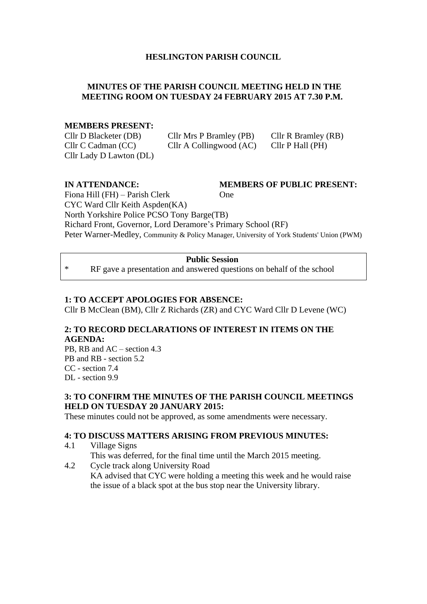#### **HESLINGTON PARISH COUNCIL**

#### **MINUTES OF THE PARISH COUNCIL MEETING HELD IN THE MEETING ROOM ON TUESDAY 24 FEBRUARY 2015 AT 7.30 P.M.**

#### **MEMBERS PRESENT:**

Cllr D Blacketer (DB) Cllr Mrs P Bramley (PB) Cllr R Bramley (RB) Cllr C Cadman (CC) Cllr A Collingwood (AC) Cllr P Hall (PH) Cllr Lady D Lawton (DL)

# **IN ATTENDANCE: MEMBERS OF PUBLIC PRESENT:**

Fiona Hill (FH) – Parish Clerk One CYC Ward Cllr Keith Aspden(KA) North Yorkshire Police PCSO Tony Barge(TB) Richard Front, Governor, Lord Deramore's Primary School (RF) Peter Warner-Medley, Community & Policy Manager, University of York Students' Union (PWM)

#### **Public Session**

\* RF gave a presentation and answered questions on behalf of the school

#### **1: TO ACCEPT APOLOGIES FOR ABSENCE:**

Cllr B McClean (BM), Cllr Z Richards (ZR) and CYC Ward Cllr D Levene (WC)

#### **2: TO RECORD DECLARATIONS OF INTEREST IN ITEMS ON THE AGENDA:**

PB, RB and AC – section 4.3 PB and RB - section 5.2 CC - section 7.4 DL - section 9.9

#### **3: TO CONFIRM THE MINUTES OF THE PARISH COUNCIL MEETINGS HELD ON TUESDAY 20 JANUARY 2015:**

These minutes could not be approved, as some amendments were necessary.

#### **4: TO DISCUSS MATTERS ARISING FROM PREVIOUS MINUTES:**

- 4.1 Village Signs This was deferred, for the final time until the March 2015 meeting.
- 4.2 Cycle track along University Road KA advised that CYC were holding a meeting this week and he would raise the issue of a black spot at the bus stop near the University library.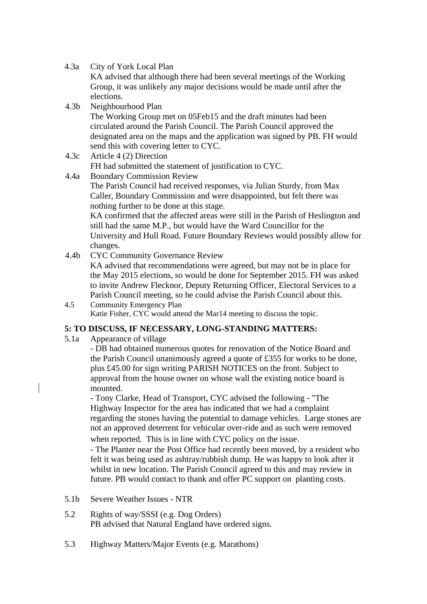4.3a City of York Local Plan

KA advised that although there had been several meetings of the Working Group, it was unlikely any major decisions would be made until after the elections.

4.3b Neighbourhood Plan

The Working Group met on 05Feb15 and the draft minutes had been circulated around the Parish Council. The Parish Council approved the designated area on the maps and the application was signed by PB. FH would send this with covering letter to CYC.

- 4.3c Article 4 (2) Direction FH had submitted the statement of justification to CYC.
- 4.4a Boundary Commission Review

The Parish Council had received responses, via Julian Sturdy, from Max Caller, Boundary Commission and were disappointed, but felt there was nothing further to be done at this stage.

KA confirmed that the affected areas were still in the Parish of Heslington and still had the same M.P., but would have the Ward Councillor for the University and Hull Road. Future Boundary Reviews would possibly allow for changes.

4.4b CYC Community Governance Review

KA advised that recommendations were agreed, but may not be in place for the May 2015 elections, so would be done for September 2015. FH was asked to invite Andrew Flecknor, Deputy Returning Officer, Electoral Services to a Parish Council meeting, so he could advise the Parish Council about this.

4.5 Community Emergency Plan Katie Fisher, CYC would attend the Mar14 meeting to discuss the topic.

#### **5: TO DISCUSS, IF NECESSARY, LONG-STANDING MATTERS:**

5.1a Appearance of village

- DB had obtained numerous quotes for renovation of the Notice Board and the Parish Council unanimously agreed a quote of £355 for works to be done, plus £45.00 for sign writing PARISH NOTICES on the front. Subject to approval from the house owner on whose wall the existing notice board is mounted.

- Tony Clarke, Head of Transport, CYC advised the following - "The Highway Inspector for the area has indicated that we had a complaint regarding the stones having the potential to damage vehicles. Large stones are not an approved deterrent for vehicular over-ride and as such were removed when reported. This is in line with CYC policy on the issue.

- The Planter near the Post Office had recently been moved, by a resident who felt it was being used as ashtray/rubbish dump. He was happy to look after it whilst in new location. The Parish Council agreed to this and may review in future. PB would contact to thank and offer PC support on planting costs.

- 5.1b Severe Weather Issues NTR
- 5.2 Rights of way/SSSI (e.g. Dog Orders) PB advised that Natural England have ordered signs.
- 5.3 Highway Matters/Major Events (e.g. Marathons)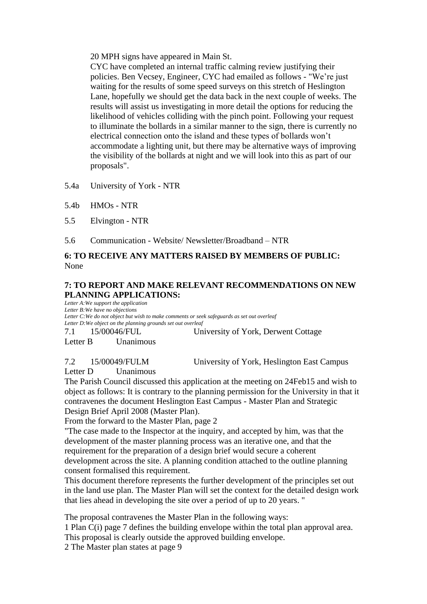20 MPH signs have appeared in Main St.

CYC have completed an internal traffic calming review justifying their policies. Ben Vecsey, Engineer, CYC had emailed as follows - "We're just waiting for the results of some speed surveys on this stretch of Heslington Lane, hopefully we should get the data back in the next couple of weeks. The results will assist us investigating in more detail the options for reducing the likelihood of vehicles colliding with the pinch point. Following your request to illuminate the bollards in a similar manner to the sign, there is currently no electrical connection onto the island and these types of bollards won't accommodate a lighting unit, but there may be alternative ways of improving the visibility of the bollards at night and we will look into this as part of our proposals".

5.4a University of York - NTR

5.4b HMOs - NTR

5.5 Elvington - NTR

5.6 Communication - Website/ Newsletter/Broadband – NTR

#### **6: TO RECEIVE ANY MATTERS RAISED BY MEMBERS OF PUBLIC:** None

#### **7: TO REPORT AND MAKE RELEVANT RECOMMENDATIONS ON NEW PLANNING APPLICATIONS:**

*Letter A:We support the application Letter B:We have no objections Letter C:We do not object but wish to make comments or seek safeguards as set out overleaf Letter D:We object on the planning grounds set out overleaf*

7.1 15/00046/FUL University of York, Derwent Cottage

Letter B Unanimous

7.2 15/00049/FULM University of York, Heslington East Campus

Letter D Unanimous

The Parish Council discussed this application at the meeting on 24Feb15 and wish to object as follows: It is contrary to the planning permission for the University in that it contravenes the document Heslington East Campus - Master Plan and Strategic Design Brief April 2008 (Master Plan).

From the forward to the Master Plan, page 2

"The case made to the Inspector at the inquiry, and accepted by him, was that the development of the master planning process was an iterative one, and that the requirement for the preparation of a design brief would secure a coherent development across the site. A planning condition attached to the outline planning consent formalised this requirement.

This document therefore represents the further development of the principles set out in the land use plan. The Master Plan will set the context for the detailed design work that lies ahead in developing the site over a period of up to 20 years. "

The proposal contravenes the Master Plan in the following ways: 1 Plan C(i) page 7 defines the building envelope within the total plan approval area.

This proposal is clearly outside the approved building envelope.

2 The Master plan states at page 9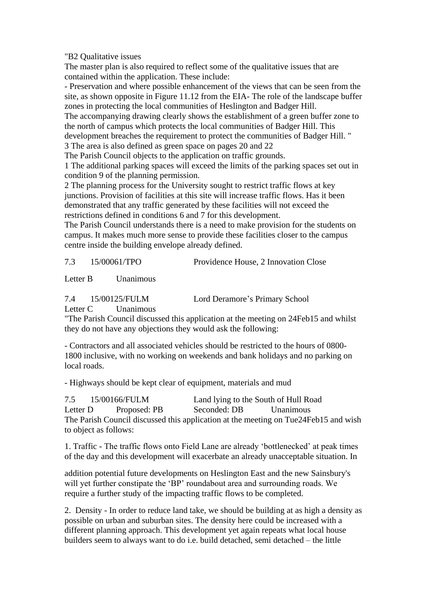"B2 Qualitative issues

The master plan is also required to reflect some of the qualitative issues that are contained within the application. These include:

- Preservation and where possible enhancement of the views that can be seen from the site, as shown opposite in Figure 11.12 from the EIA- The role of the landscape buffer zones in protecting the local communities of Heslington and Badger Hill.

The accompanying drawing clearly shows the establishment of a green buffer zone to the north of campus which protects the local communities of Badger Hill. This development breaches the requirement to protect the communities of Badger Hill. "

3 The area is also defined as green space on pages 20 and 22

The Parish Council objects to the application on traffic grounds.

1 The additional parking spaces will exceed the limits of the parking spaces set out in condition 9 of the planning permission.

2 The planning process for the University sought to restrict traffic flows at key junctions. Provision of facilities at this site will increase traffic flows. Has it been demonstrated that any traffic generated by these facilities will not exceed the restrictions defined in conditions 6 and 7 for this development.

The Parish Council understands there is a need to make provision for the students on campus. It makes much more sense to provide these facilities closer to the campus centre inside the building envelope already defined.

7.3 15/00061/TPO Providence House, 2 Innovation Close

Letter B Unanimous

| 7.4 | 15/00125/FULM | ı. |
|-----|---------------|----|
|     |               |    |

ord Deramore's Primary School

Letter C Unanimous

"The Parish Council discussed this application at the meeting on 24Feb15 and whilst they do not have any objections they would ask the following:

- Contractors and all associated vehicles should be restricted to the hours of 0800- 1800 inclusive, with no working on weekends and bank holidays and no parking on local roads.

- Highways should be kept clear of equipment, materials and mud

7.5 15/00166/FULM Land lying to the South of Hull Road Letter D Proposed: PB Seconded: DB Unanimous The Parish Council discussed this application at the meeting on Tue24Feb15 and wish to object as follows:

1. Traffic - The traffic flows onto Field Lane are already 'bottlenecked' at peak times of the day and this development will exacerbate an already unacceptable situation. In

addition potential future developments on Heslington East and the new Sainsbury's will yet further constipate the 'BP' roundabout area and surrounding roads. We require a further study of the impacting traffic flows to be completed.

2. Density - In order to reduce land take, we should be building at as high a density as possible on urban and suburban sites. The density here could be increased with a different planning approach. This development yet again repeats what local house builders seem to always want to do i.e. build detached, semi detached – the little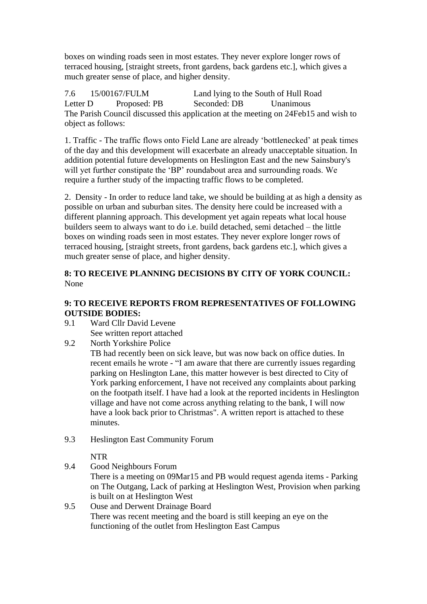boxes on winding roads seen in most estates. They never explore longer rows of terraced housing, [straight streets, front gardens, back gardens etc.], which gives a much greater sense of place, and higher density.

7.6 15/00167/FULM Land lying to the South of Hull Road Letter D Proposed: PB Seconded: DB Unanimous The Parish Council discussed this application at the meeting on 24Feb15 and wish to object as follows:

1. Traffic - The traffic flows onto Field Lane are already 'bottlenecked' at peak times of the day and this development will exacerbate an already unacceptable situation. In addition potential future developments on Heslington East and the new Sainsbury's will yet further constipate the 'BP' roundabout area and surrounding roads. We require a further study of the impacting traffic flows to be completed.

2. Density - In order to reduce land take, we should be building at as high a density as possible on urban and suburban sites. The density here could be increased with a different planning approach. This development yet again repeats what local house builders seem to always want to do i.e. build detached, semi detached – the little boxes on winding roads seen in most estates. They never explore longer rows of terraced housing, [straight streets, front gardens, back gardens etc.], which gives a much greater sense of place, and higher density.

#### **8: TO RECEIVE PLANNING DECISIONS BY CITY OF YORK COUNCIL:** None

#### **9: TO RECEIVE REPORTS FROM REPRESENTATIVES OF FOLLOWING OUTSIDE BODIES:**

9.1 Ward Cllr David Levene See written report attached

### 9.2 North Yorkshire Police

- TB had recently been on sick leave, but was now back on office duties. In recent emails he wrote - "I am aware that there are currently issues regarding parking on Heslington Lane, this matter however is best directed to City of York parking enforcement, I have not received any complaints about parking on the footpath itself. I have had a look at the reported incidents in Heslington village and have not come across anything relating to the bank, I will now have a look back prior to Christmas". A written report is attached to these minutes.
- 9.3 Heslington East Community Forum

NTR

- 9.4 Good Neighbours Forum There is a meeting on 09Mar15 and PB would request agenda items - Parking on The Outgang, Lack of parking at Heslington West, Provision when parking is built on at Heslington West
- 9.5 Ouse and Derwent Drainage Board There was recent meeting and the board is still keeping an eye on the functioning of the outlet from Heslington East Campus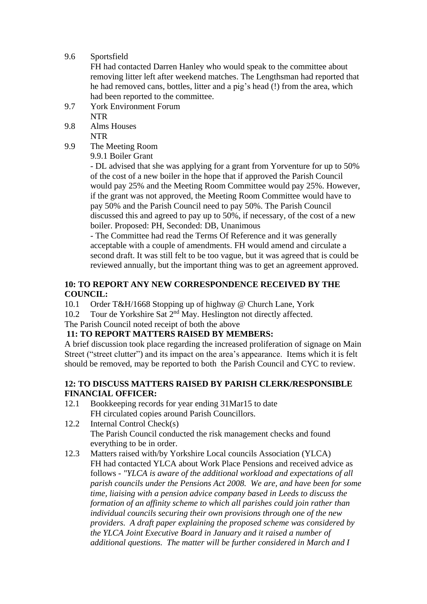9.6 Sportsfield

FH had contacted Darren Hanley who would speak to the committee about removing litter left after weekend matches. The Lengthsman had reported that he had removed cans, bottles, litter and a pig's head (!) from the area, which had been reported to the committee.

- 9.7 York Environment Forum NTR
- 9.8 Alms Houses NTR
- 9.9 The Meeting Room

9.9.1 Boiler Grant

- DL advised that she was applying for a grant from Yorventure for up to 50% of the cost of a new boiler in the hope that if approved the Parish Council would pay 25% and the Meeting Room Committee would pay 25%. However, if the grant was not approved, the Meeting Room Committee would have to pay 50% and the Parish Council need to pay 50%. The Parish Council discussed this and agreed to pay up to 50%, if necessary, of the cost of a new boiler. Proposed: PH, Seconded: DB, Unanimous

- The Committee had read the Terms Of Reference and it was generally acceptable with a couple of amendments. FH would amend and circulate a second draft. It was still felt to be too vague, but it was agreed that is could be reviewed annually, but the important thing was to get an agreement approved.

#### **10: TO REPORT ANY NEW CORRESPONDENCE RECEIVED BY THE COUNCIL:**

10.1 Order T&H/1668 Stopping up of highway @ Church Lane, York

10.2 Tour de Yorkshire Sat 2<sup>nd</sup> May. Heslington not directly affected.

The Parish Council noted receipt of both the above

### **11: TO REPORT MATTERS RAISED BY MEMBERS:**

A brief discussion took place regarding the increased proliferation of signage on Main Street ("street clutter") and its impact on the area's appearance. Items which it is felt should be removed, may be reported to both the Parish Council and CYC to review.

#### **12: TO DISCUSS MATTERS RAISED BY PARISH CLERK/RESPONSIBLE FINANCIAL OFFICER:**

- 12.1 Bookkeeping records for year ending 31Mar15 to date FH circulated copies around Parish Councillors.
- 12.2 Internal Control Check(s) The Parish Council conducted the risk management checks and found everything to be in order.
- 12.3 Matters raised with/by Yorkshire Local councils Association (YLCA) FH had contacted YLCA about Work Place Pensions and received advice as follows - *"YLCA is aware of the additional workload and expectations of all parish councils under the Pensions Act 2008. We are, and have been for some time, liaising with a pension advice company based in Leeds to discuss the formation of an affinity scheme to which all parishes could join rather than individual councils securing their own provisions through one of the new providers. A draft paper explaining the proposed scheme was considered by the YLCA Joint Executive Board in January and it raised a number of additional questions. The matter will be further considered in March and I*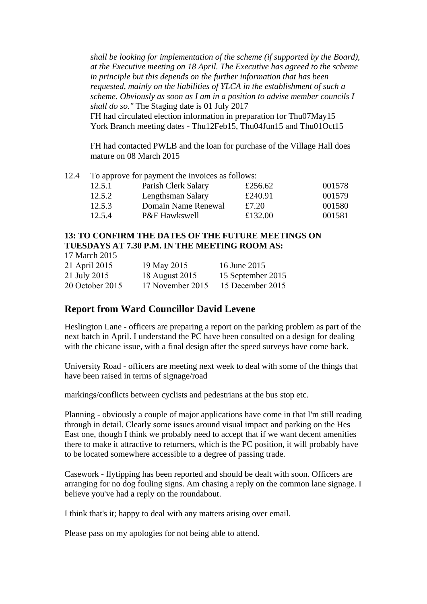*shall be looking for implementation of the scheme (if supported by the Board), at the Executive meeting on 18 April. The Executive has agreed to the scheme in principle but this depends on the further information that has been requested, mainly on the liabilities of YLCA in the establishment of such a scheme. Obviously as soon as I am in a position to advise member councils I shall do so."* The Staging date is 01 July 2017

FH had circulated election information in preparation for Thu07May15 York Branch meeting dates - Thu12Feb15, Thu04Jun15 and Thu01Oct15

FH had contacted PWLB and the loan for purchase of the Village Hall does mature on 08 March 2015

|  | 12.4 To approve for payment the invoices as follows: |  |  |  |
|--|------------------------------------------------------|--|--|--|
|--|------------------------------------------------------|--|--|--|

| 12.5.1 | Parish Clerk Salary | £256.62 | 001578 |
|--------|---------------------|---------|--------|
| 12.5.2 | Lengthsman Salary   | £240.91 | 001579 |
| 12.5.3 | Domain Name Renewal | £7.20   | 001580 |
| 12.5.4 | P&F Hawkswell       | £132.00 | 001581 |

#### **13: TO CONFIRM THE DATES OF THE FUTURE MEETINGS ON TUESDAYS AT 7.30 P.M. IN THE MEETING ROOM AS:**

17 March 2015

| 21 April 2015   | 19 May 2015      | 16 June 2015      |
|-----------------|------------------|-------------------|
| 21 July 2015    | 18 August 2015   | 15 September 2015 |
| 20 October 2015 | 17 November 2015 | 15 December 2015  |

## **Report from Ward Councillor David Levene**

Heslington Lane - officers are preparing a report on the parking problem as part of the next batch in April. I understand the PC have been consulted on a design for dealing with the chicane issue, with a final design after the speed surveys have come back.

University Road - officers are meeting next week to deal with some of the things that have been raised in terms of signage/road

markings/conflicts between cyclists and pedestrians at the bus stop etc.

Planning - obviously a couple of major applications have come in that I'm still reading through in detail. Clearly some issues around visual impact and parking on the Hes East one, though I think we probably need to accept that if we want decent amenities there to make it attractive to returners, which is the PC position, it will probably have to be located somewhere accessible to a degree of passing trade.

Casework - flytipping has been reported and should be dealt with soon. Officers are arranging for no dog fouling signs. Am chasing a reply on the common lane signage. I believe you've had a reply on the roundabout.

I think that's it; happy to deal with any matters arising over email.

Please pass on my apologies for not being able to attend.